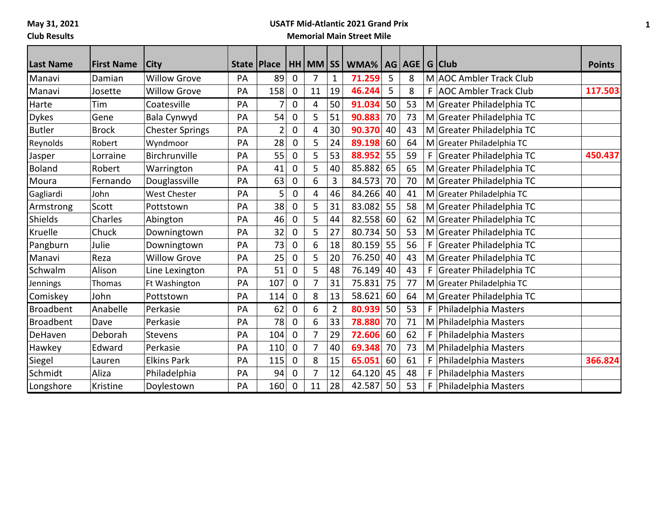**May 31, 2021**

## **Club Results**

## **USATF Mid-Atlantic 2021 Grand Prix Memorial Main Street Mile**

| <b>Last Name</b> | <b>First Name</b> | <b>City</b>            |    | <b>State Place</b> |              | $HH$ MM $ SS $ |                | WMA%   |    | AG   AGE |    | G Club                    | <b>Points</b> |
|------------------|-------------------|------------------------|----|--------------------|--------------|----------------|----------------|--------|----|----------|----|---------------------------|---------------|
| Manavi           | Damian            | <b>Willow Grove</b>    | PA | 89                 | 0            | 7              | 1              | 71.259 | 5  | 8        |    | M AOC Ambler Track Club   |               |
| Manavi           | Josette           | <b>Willow Grove</b>    | PA | 158                | $\Omega$     | 11             | 19             | 46.244 | 5  | 8        |    | F AOC Ambler Track Club   | 117.503       |
| Harte            | Tim               | Coatesville            | PA | 7                  | 0            | 4              | 50             | 91.034 | 50 | 53       |    | M Greater Philadelphia TC |               |
| <b>Dykes</b>     | Gene              | Bala Cynwyd            | PA | 54                 | $\mathbf{0}$ | 5              | 51             | 90.883 | 70 | 73       |    | M Greater Philadelphia TC |               |
| <b>Butler</b>    | <b>Brock</b>      | <b>Chester Springs</b> | PA |                    | 0            | 4              | 30             | 90.370 | 40 | 43       |    | M Greater Philadelphia TC |               |
| Reynolds         | Robert            | Wyndmoor               | PA | 28                 | 0            | 5              | 24             | 89.198 | 60 | 64       |    | M Greater Philadelphia TC |               |
| Jasper           | Lorraine          | Birchrunville          | PA | 55                 | 0            | 5              | 53             | 88.952 | 55 | 59       | F  | Greater Philadelphia TC   | 450.437       |
| <b>Boland</b>    | Robert            | Warrington             | PA | 41                 | 0            | 5              | 40             | 85.882 | 65 | 65       |    | M Greater Philadelphia TC |               |
| Moura            | Fernando          | Douglassville          | PA | 63                 | 0            | 6              | 3              | 84.573 | 70 | 70       |    | M Greater Philadelphia TC |               |
| Gagliardi        | John              | <b>West Chester</b>    | PA | 5                  | 0            | 4              | 46             | 84.266 | 40 | 41       |    | M Greater Philadelphia TC |               |
| Armstrong        | Scott             | Pottstown              | PA | 38                 | 0            | 5              | 31             | 83.082 | 55 | 58       |    | M Greater Philadelphia TC |               |
| Shields          | Charles           | Abington               | PA | 46                 | 0            | 5              | 44             | 82.558 | 60 | 62       |    | M Greater Philadelphia TC |               |
| Kruelle          | Chuck             | Downingtown            | PA | 32                 | 0            | 5              | 27             | 80.734 | 50 | 53       |    | M Greater Philadelphia TC |               |
| Pangburn         | Julie             | Downingtown            | PA | 73                 | $\Omega$     | 6              | 18             | 80.159 | 55 | 56       | F  | Greater Philadelphia TC   |               |
| Manavi           | Reza              | <b>Willow Grove</b>    | PA | 25                 | 0            | 5              | 20             | 76.250 | 40 | 43       |    | M Greater Philadelphia TC |               |
| Schwalm          | Alison            | Line Lexington         | PA | 51                 | 0            | 5              | 48             | 76.149 | 40 | 43       | F  | Greater Philadelphia TC   |               |
| Jennings         | Thomas            | Ft Washington          | PA | 107                | 0            | 7              | 31             | 75.831 | 75 | 77       |    | M Greater Philadelphia TC |               |
| Comiskey         | John              | Pottstown              | PA | 114                | $\Omega$     | 8              | 13             | 58.621 | 60 | 64       |    | M Greater Philadelphia TC |               |
| <b>Broadbent</b> | Anabelle          | Perkasie               | PA | 62                 | 0            | 6              | $\overline{2}$ | 80.939 | 50 | 53       | F. | Philadelphia Masters      |               |
| <b>Broadbent</b> | Dave              | Perkasie               | PA | 78                 | $\Omega$     | 6              | 33             | 78.880 | 70 | 71       |    | M Philadelphia Masters    |               |
| DeHaven          | Deborah           | <b>Stevens</b>         | PA | 104                | 0            | 7              | 29             | 72.606 | 60 | 62       | F  | Philadelphia Masters      |               |
| Hawkey           | Edward            | Perkasie               | PA | 110                | 0            | 7              | 40             | 69.348 | 70 | 73       |    | M Philadelphia Masters    |               |
| Siegel           | Lauren            | <b>Elkins Park</b>     | PA | 115                | $\mathbf{0}$ | 8              | 15             | 65.051 | 60 | 61       | F  | Philadelphia Masters      | 366.824       |
| Schmidt          | Aliza             | Philadelphia           | PA | 94                 | 0            | 7              | 12             | 64.120 | 45 | 48       | F  | Philadelphia Masters      |               |
| Longshore        | Kristine          | Doylestown             | PA | 160                | 0            | 11             | 28             | 42.587 | 50 | 53       | F  | Philadelphia Masters      |               |